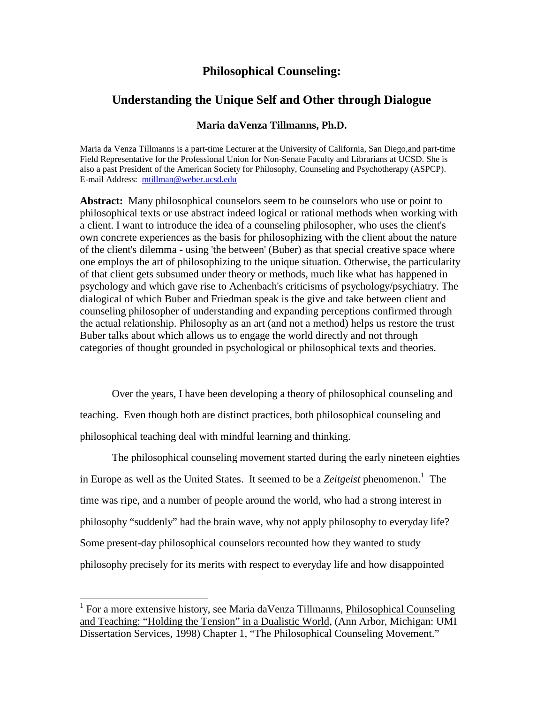## **Philosophical Counseling:**

## **Understanding the Unique Self and Other through Dialogue**

## **Maria daVenza Tillmanns, Ph.D.**

Maria da Venza Tillmanns is a part-time Lecturer at the University of California, San Diego,and part-time Field Representative for the Professional Union for Non-Senate Faculty and Librarians at UCSD. She is also a past President of the American Society for Philosophy, Counseling and Psychotherapy (ASPCP). E-mail Address: [mtillman@weber.ucsd.edu](mailto:mtillman@weber.ucsd.edu)

**Abstract:** Many philosophical counselors seem to be counselors who use or point to philosophical texts or use abstract indeed logical or rational methods when working with a client. I want to introduce the idea of a counseling philosopher, who uses the client's own concrete experiences as the basis for philosophizing with the client about the nature of the client's dilemma - using 'the between' (Buber) as that special creative space where one employs the art of philosophizing to the unique situation. Otherwise, the particularity of that client gets subsumed under theory or methods, much like what has happened in psychology and which gave rise to Achenbach's criticisms of psychology/psychiatry. The dialogical of which Buber and Friedman speak is the give and take between client and counseling philosopher of understanding and expanding perceptions confirmed through the actual relationship. Philosophy as an art (and not a method) helps us restore the trust Buber talks about which allows us to engage the world directly and not through categories of thought grounded in psychological or philosophical texts and theories.

Over the years, I have been developing a theory of philosophical counseling and teaching. Even though both are distinct practices, both philosophical counseling and philosophical teaching deal with mindful learning and thinking.

The philosophical counseling movement started during the early nineteen eighties in Europe as well as the United States. It seemed to be a Zeitgeist phenomenon.<sup>[1](#page-0-0)</sup> The time was ripe, and a number of people around the world, who had a strong interest in philosophy "suddenly" had the brain wave, why not apply philosophy to everyday life? Some present-day philosophical counselors recounted how they wanted to study philosophy precisely for its merits with respect to everyday life and how disappointed

<span id="page-0-0"></span><sup>&</sup>lt;sup>1</sup> For a more extensive history, see Maria daVenza Tillmanns, *Philosophical Counseling* and Teaching: "Holding the Tension" in a Dualistic World, (Ann Arbor, Michigan: UMI Dissertation Services, 1998) Chapter 1, "The Philosophical Counseling Movement."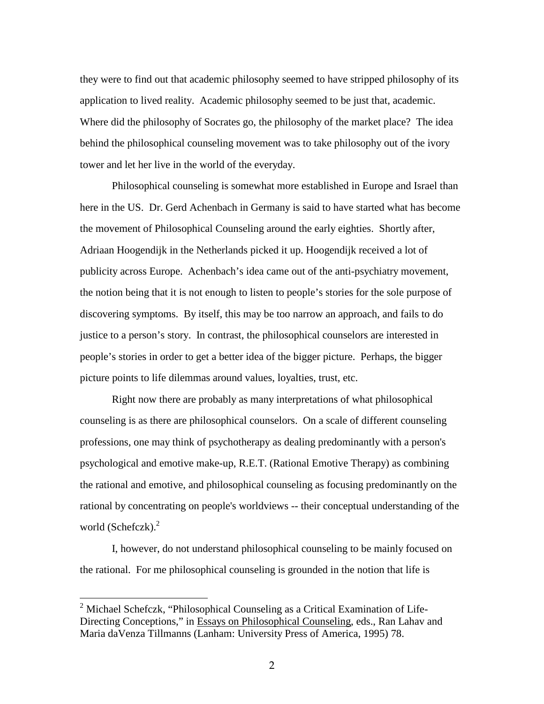they were to find out that academic philosophy seemed to have stripped philosophy of its application to lived reality. Academic philosophy seemed to be just that, academic. Where did the philosophy of Socrates go, the philosophy of the market place? The idea behind the philosophical counseling movement was to take philosophy out of the ivory tower and let her live in the world of the everyday.

Philosophical counseling is somewhat more established in Europe and Israel than here in the US. Dr. Gerd Achenbach in Germany is said to have started what has become the movement of Philosophical Counseling around the early eighties. Shortly after, Adriaan Hoogendijk in the Netherlands picked it up. Hoogendijk received a lot of publicity across Europe. Achenbach's idea came out of the anti-psychiatry movement, the notion being that it is not enough to listen to people's stories for the sole purpose of discovering symptoms. By itself, this may be too narrow an approach, and fails to do justice to a person's story. In contrast, the philosophical counselors are interested in people's stories in order to get a better idea of the bigger picture. Perhaps, the bigger picture points to life dilemmas around values, loyalties, trust, etc.

Right now there are probably as many interpretations of what philosophical counseling is as there are philosophical counselors. On a scale of different counseling professions, one may think of psychotherapy as dealing predominantly with a person's psychological and emotive make-up, R.E.T. (Rational Emotive Therapy) as combining the rational and emotive, and philosophical counseling as focusing predominantly on the rational by concentrating on people's worldviews -- their conceptual understanding of the world  $(Schefczk)<sup>2</sup>$  $(Schefczk)<sup>2</sup>$  $(Schefczk)<sup>2</sup>$ 

I, however, do not understand philosophical counseling to be mainly focused on the rational. For me philosophical counseling is grounded in the notion that life is

<span id="page-1-0"></span><sup>&</sup>lt;sup>2</sup> Michael Schefczk, "Philosophical Counseling as a Critical Examination of Life-Directing Conceptions," in Essays on Philosophical Counseling, eds., Ran Lahav and Maria daVenza Tillmanns (Lanham: University Press of America, 1995) 78.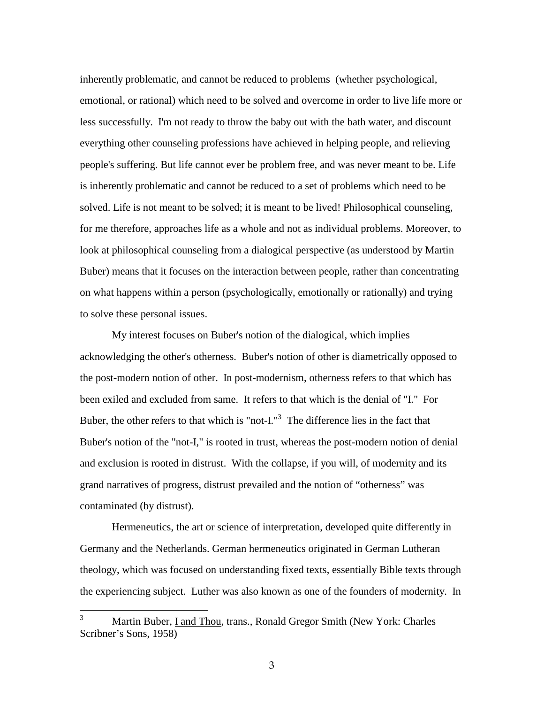inherently problematic, and cannot be reduced to problems (whether psychological, emotional, or rational) which need to be solved and overcome in order to live life more or less successfully. I'm not ready to throw the baby out with the bath water, and discount everything other counseling professions have achieved in helping people, and relieving people's suffering. But life cannot ever be problem free, and was never meant to be. Life is inherently problematic and cannot be reduced to a set of problems which need to be solved. Life is not meant to be solved; it is meant to be lived! Philosophical counseling, for me therefore, approaches life as a whole and not as individual problems. Moreover, to look at philosophical counseling from a dialogical perspective (as understood by Martin Buber) means that it focuses on the interaction between people, rather than concentrating on what happens within a person (psychologically, emotionally or rationally) and trying to solve these personal issues.

My interest focuses on Buber's notion of the dialogical, which implies acknowledging the other's otherness. Buber's notion of other is diametrically opposed to the post-modern notion of other. In post-modernism, otherness refers to that which has been exiled and excluded from same. It refers to that which is the denial of "I." For Buber, the other refers to that which is "not-I."<sup>[3](#page-2-0)</sup> The difference lies in the fact that Buber's notion of the "not-I," is rooted in trust, whereas the post-modern notion of denial and exclusion is rooted in distrust. With the collapse, if you will, of modernity and its grand narratives of progress, distrust prevailed and the notion of "otherness" was contaminated (by distrust).

Hermeneutics, the art or science of interpretation, developed quite differently in Germany and the Netherlands. German hermeneutics originated in German Lutheran theology, which was focused on understanding fixed texts, essentially Bible texts through the experiencing subject. Luther was also known as one of the founders of modernity. In

<span id="page-2-0"></span><sup>&</sup>lt;sup>3</sup> Martin Buber, I and Thou, trans., Ronald Gregor Smith (New York: Charles Scribner's Sons, 1958)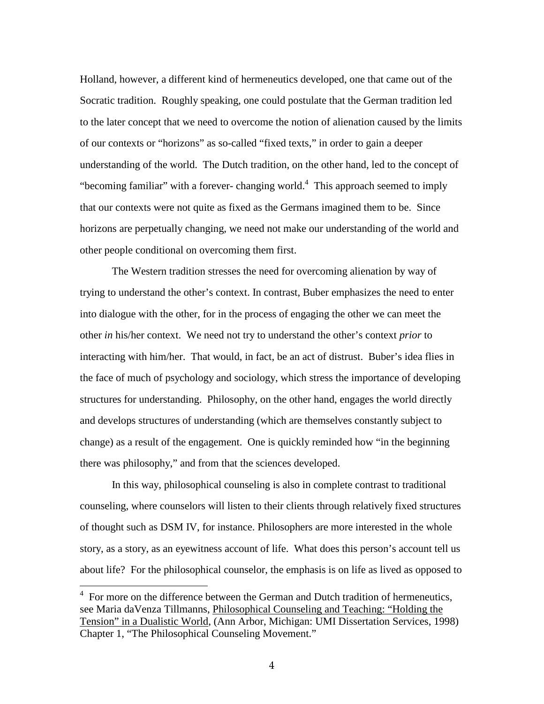Holland, however, a different kind of hermeneutics developed, one that came out of the Socratic tradition. Roughly speaking, one could postulate that the German tradition led to the later concept that we need to overcome the notion of alienation caused by the limits of our contexts or "horizons" as so-called "fixed texts," in order to gain a deeper understanding of the world. The Dutch tradition, on the other hand, led to the concept of "becoming familiar" with a forever- changing world.<sup>[4](#page-3-0)</sup> This approach seemed to imply that our contexts were not quite as fixed as the Germans imagined them to be. Since horizons are perpetually changing, we need not make our understanding of the world and other people conditional on overcoming them first.

The Western tradition stresses the need for overcoming alienation by way of trying to understand the other's context. In contrast, Buber emphasizes the need to enter into dialogue with the other, for in the process of engaging the other we can meet the other *in* his/her context. We need not try to understand the other's context *prior* to interacting with him/her. That would, in fact, be an act of distrust. Buber's idea flies in the face of much of psychology and sociology, which stress the importance of developing structures for understanding. Philosophy, on the other hand, engages the world directly and develops structures of understanding (which are themselves constantly subject to change) as a result of the engagement. One is quickly reminded how "in the beginning there was philosophy," and from that the sciences developed.

In this way, philosophical counseling is also in complete contrast to traditional counseling, where counselors will listen to their clients through relatively fixed structures of thought such as DSM IV, for instance. Philosophers are more interested in the whole story, as a story, as an eyewitness account of life. What does this person's account tell us about life? For the philosophical counselor, the emphasis is on life as lived as opposed to

<span id="page-3-0"></span> $4$  For more on the difference between the German and Dutch tradition of hermeneutics, see Maria daVenza Tillmanns, Philosophical Counseling and Teaching: "Holding the Tension" in a Dualistic World, (Ann Arbor, Michigan: UMI Dissertation Services, 1998) Chapter 1, "The Philosophical Counseling Movement."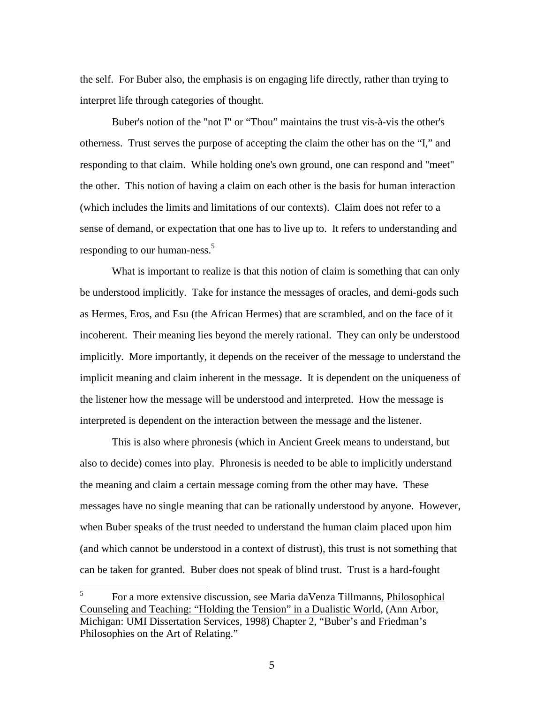the self. For Buber also, the emphasis is on engaging life directly, rather than trying to interpret life through categories of thought.

Buber's notion of the "not I" or "Thou" maintains the trust vis-à-vis the other's otherness. Trust serves the purpose of accepting the claim the other has on the "I," and responding to that claim. While holding one's own ground, one can respond and "meet" the other. This notion of having a claim on each other is the basis for human interaction (which includes the limits and limitations of our contexts). Claim does not refer to a sense of demand, or expectation that one has to live up to. It refers to understanding and responding to our human-ness.<sup>[5](#page-4-0)</sup>

What is important to realize is that this notion of claim is something that can only be understood implicitly. Take for instance the messages of oracles, and demi-gods such as Hermes, Eros, and Esu (the African Hermes) that are scrambled, and on the face of it incoherent. Their meaning lies beyond the merely rational. They can only be understood implicitly. More importantly, it depends on the receiver of the message to understand the implicit meaning and claim inherent in the message. It is dependent on the uniqueness of the listener how the message will be understood and interpreted. How the message is interpreted is dependent on the interaction between the message and the listener.

This is also where phronesis (which in Ancient Greek means to understand, but also to decide) comes into play. Phronesis is needed to be able to implicitly understand the meaning and claim a certain message coming from the other may have. These messages have no single meaning that can be rationally understood by anyone. However, when Buber speaks of the trust needed to understand the human claim placed upon him (and which cannot be understood in a context of distrust), this trust is not something that can be taken for granted. Buber does not speak of blind trust. Trust is a hard-fought

<span id="page-4-0"></span><sup>5</sup> For a more extensive discussion, see Maria daVenza Tillmanns, Philosophical Counseling and Teaching: "Holding the Tension" in a Dualistic World, (Ann Arbor, Michigan: UMI Dissertation Services, 1998) Chapter 2, "Buber's and Friedman's Philosophies on the Art of Relating."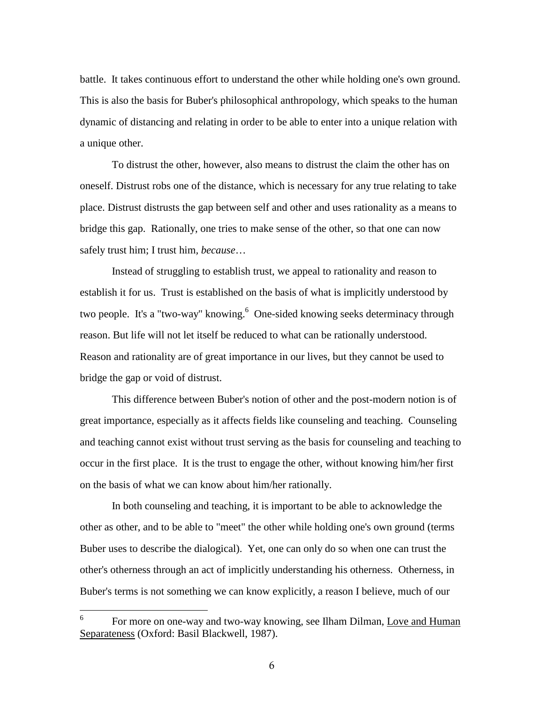battle. It takes continuous effort to understand the other while holding one's own ground. This is also the basis for Buber's philosophical anthropology, which speaks to the human dynamic of distancing and relating in order to be able to enter into a unique relation with a unique other.

To distrust the other, however, also means to distrust the claim the other has on oneself. Distrust robs one of the distance, which is necessary for any true relating to take place. Distrust distrusts the gap between self and other and uses rationality as a means to bridge this gap. Rationally, one tries to make sense of the other, so that one can now safely trust him; I trust him*, because*…

Instead of struggling to establish trust, we appeal to rationality and reason to establish it for us. Trust is established on the basis of what is implicitly understood by two people. It's a "two-way" knowing.<sup>[6](#page-5-0)</sup> One-sided knowing seeks determinacy through reason. But life will not let itself be reduced to what can be rationally understood. Reason and rationality are of great importance in our lives, but they cannot be used to bridge the gap or void of distrust.

This difference between Buber's notion of other and the post-modern notion is of great importance, especially as it affects fields like counseling and teaching. Counseling and teaching cannot exist without trust serving as the basis for counseling and teaching to occur in the first place. It is the trust to engage the other, without knowing him/her first on the basis of what we can know about him/her rationally.

In both counseling and teaching, it is important to be able to acknowledge the other as other, and to be able to "meet" the other while holding one's own ground (terms Buber uses to describe the dialogical). Yet, one can only do so when one can trust the other's otherness through an act of implicitly understanding his otherness. Otherness, in Buber's terms is not something we can know explicitly, a reason I believe, much of our

<span id="page-5-0"></span><sup>6</sup> For more on one-way and two-way knowing, see Ilham Dilman, Love and Human Separateness (Oxford: Basil Blackwell, 1987).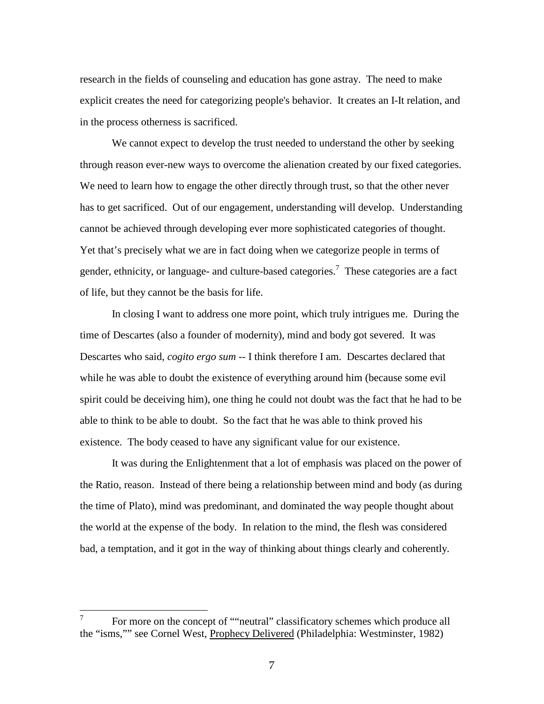research in the fields of counseling and education has gone astray. The need to make explicit creates the need for categorizing people's behavior. It creates an I-It relation, and in the process otherness is sacrificed.

We cannot expect to develop the trust needed to understand the other by seeking through reason ever-new ways to overcome the alienation created by our fixed categories. We need to learn how to engage the other directly through trust, so that the other never has to get sacrificed. Out of our engagement, understanding will develop. Understanding cannot be achieved through developing ever more sophisticated categories of thought. Yet that's precisely what we are in fact doing when we categorize people in terms of gender, ethnicity, or language- and culture-based categories.<sup>[7](#page-6-0)</sup> These categories are a fact of life, but they cannot be the basis for life.

In closing I want to address one more point, which truly intrigues me. During the time of Descartes (also a founder of modernity), mind and body got severed. It was Descartes who said, *cogito ergo sum* -- I think therefore I am. Descartes declared that while he was able to doubt the existence of everything around him (because some evil spirit could be deceiving him), one thing he could not doubt was the fact that he had to be able to think to be able to doubt. So the fact that he was able to think proved his existence. The body ceased to have any significant value for our existence.

It was during the Enlightenment that a lot of emphasis was placed on the power of the Ratio, reason. Instead of there being a relationship between mind and body (as during the time of Plato), mind was predominant, and dominated the way people thought about the world at the expense of the body. In relation to the mind, the flesh was considered bad, a temptation, and it got in the way of thinking about things clearly and coherently.

<span id="page-6-0"></span><sup>7</sup> For more on the concept of ""neutral" classificatory schemes which produce all the "isms,"" see Cornel West, Prophecy Delivered (Philadelphia: Westminster, 1982)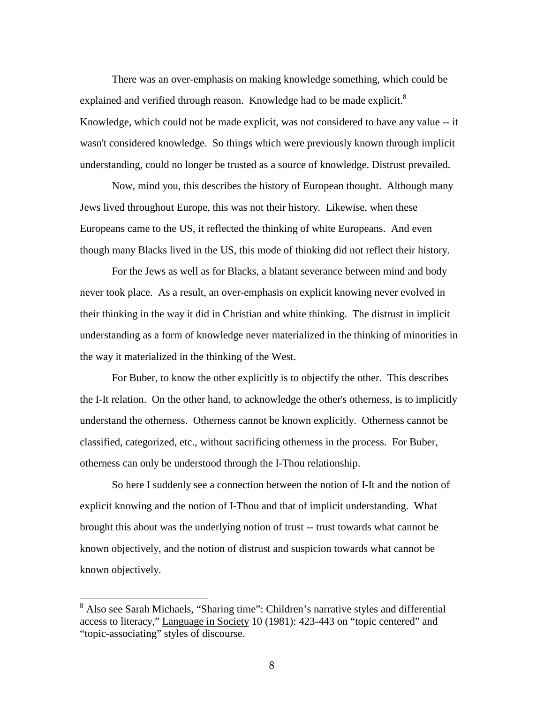There was an over-emphasis on making knowledge something, which could be explained and verified through reason. Knowledge had to be made explicit.<sup>[8](#page-7-0)</sup> Knowledge, which could not be made explicit, was not considered to have any value -- it wasn't considered knowledge. So things which were previously known through implicit understanding, could no longer be trusted as a source of knowledge. Distrust prevailed.

Now, mind you, this describes the history of European thought. Although many Jews lived throughout Europe, this was not their history. Likewise, when these Europeans came to the US, it reflected the thinking of white Europeans. And even though many Blacks lived in the US, this mode of thinking did not reflect their history.

For the Jews as well as for Blacks, a blatant severance between mind and body never took place. As a result, an over-emphasis on explicit knowing never evolved in their thinking in the way it did in Christian and white thinking. The distrust in implicit understanding as a form of knowledge never materialized in the thinking of minorities in the way it materialized in the thinking of the West.

For Buber, to know the other explicitly is to objectify the other. This describes the I-It relation. On the other hand, to acknowledge the other's otherness, is to implicitly understand the otherness. Otherness cannot be known explicitly. Otherness cannot be classified, categorized, etc., without sacrificing otherness in the process. For Buber, otherness can only be understood through the I-Thou relationship.

So here I suddenly see a connection between the notion of I-It and the notion of explicit knowing and the notion of I-Thou and that of implicit understanding. What brought this about was the underlying notion of trust -- trust towards what cannot be known objectively, and the notion of distrust and suspicion towards what cannot be known objectively.

<span id="page-7-0"></span><sup>&</sup>lt;sup>8</sup> Also see Sarah Michaels, "Sharing time": Children's narrative styles and differential access to literacy," Language in Society 10 (1981): 423-443 on "topic centered" and "topic-associating" styles of discourse.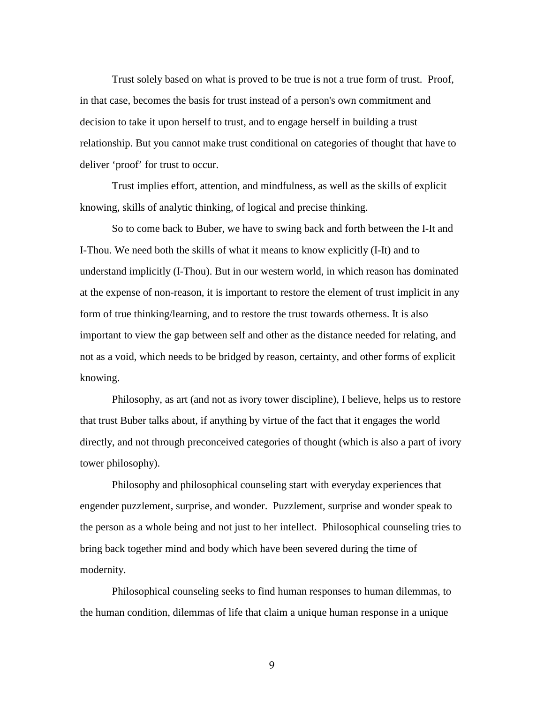Trust solely based on what is proved to be true is not a true form of trust. Proof, in that case, becomes the basis for trust instead of a person's own commitment and decision to take it upon herself to trust, and to engage herself in building a trust relationship. But you cannot make trust conditional on categories of thought that have to deliver 'proof' for trust to occur.

Trust implies effort, attention, and mindfulness, as well as the skills of explicit knowing, skills of analytic thinking, of logical and precise thinking.

So to come back to Buber, we have to swing back and forth between the I-It and I-Thou. We need both the skills of what it means to know explicitly (I-It) and to understand implicitly (I-Thou). But in our western world, in which reason has dominated at the expense of non-reason, it is important to restore the element of trust implicit in any form of true thinking/learning, and to restore the trust towards otherness. It is also important to view the gap between self and other as the distance needed for relating, and not as a void, which needs to be bridged by reason, certainty, and other forms of explicit knowing.

Philosophy, as art (and not as ivory tower discipline), I believe, helps us to restore that trust Buber talks about, if anything by virtue of the fact that it engages the world directly, and not through preconceived categories of thought (which is also a part of ivory tower philosophy).

Philosophy and philosophical counseling start with everyday experiences that engender puzzlement, surprise, and wonder. Puzzlement, surprise and wonder speak to the person as a whole being and not just to her intellect. Philosophical counseling tries to bring back together mind and body which have been severed during the time of modernity.

Philosophical counseling seeks to find human responses to human dilemmas, to the human condition, dilemmas of life that claim a unique human response in a unique

9